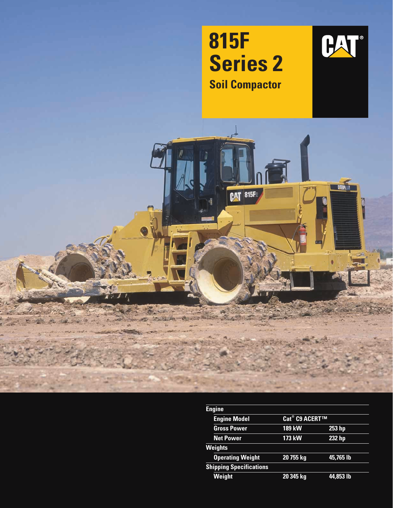

| <b>Engine</b>                  |                            |               |  |  |
|--------------------------------|----------------------------|---------------|--|--|
| <b>Engine Model</b>            | Cat <sup>®</sup> C9 ACERT™ |               |  |  |
| <b>Gross Power</b>             | <b>189 kW</b>              | $253$ hp      |  |  |
| <b>Net Power</b>               | <b>173 kW</b>              | <b>232 hp</b> |  |  |
| <b>Weights</b>                 |                            |               |  |  |
| <b>Operating Weight</b>        | 20 755 kg                  | 45,765 lb     |  |  |
| <b>Shipping Specifications</b> |                            |               |  |  |
| Weight                         | 20 345 kg                  | 44,853 lb     |  |  |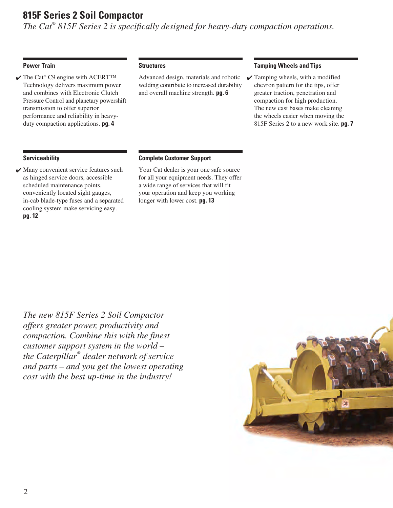## **815F Series 2 Soil Compactor**

*The Cat® 815F Series 2 is specifically designed for heavy-duty compaction operations.*

### **Power Train**

 $\checkmark$  The Cat® C9 engine with ACERT™ Technology delivers maximum power and combines with Electronic Clutch Pressure Control and planetary powershift transmission to offer superior performance and reliability in heavyduty compaction applications. **pg. 4**

### **Structures**

Advanced design, materials and robotic welding contribute to increased durability and overall machine strength. **pg. 6**

### **Tamping Wheels and Tips**

 $\checkmark$  Tamping wheels, with a modified chevron pattern for the tips, offer greater traction, penetration and compaction for high production. The new cast bases make cleaning the wheels easier when moving the 815F Series 2 to a new work site. **pg. 7**

### **Serviceability**

✔ Many convenient service features such as hinged service doors, accessible scheduled maintenance points, conveniently located sight gauges, in-cab blade-type fuses and a separated cooling system make servicing easy. **pg. 12**

### **Complete Customer Support**

Your Cat dealer is your one safe source for all your equipment needs. They offer a wide range of services that will fit your operation and keep you working longer with lower cost. **pg. 13**

*The new 815F Series 2 Soil Compactor offers greater power, productivity and compaction. Combine this with the finest customer support system in the world – the Caterpillar® dealer network of service and parts – and you get the lowest operating cost with the best up-time in the industry!*

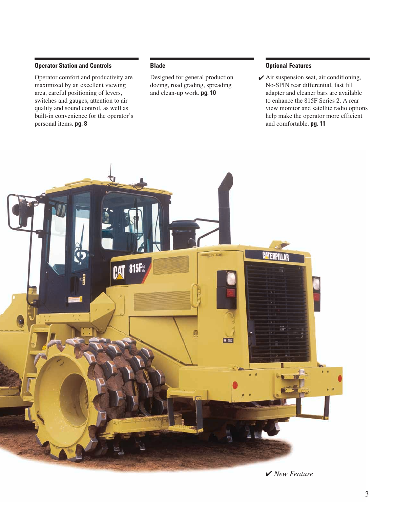### **Operator Station and Controls**

Operator comfort and productivity are maximized by an excellent viewing area, careful positioning of levers, switches and gauges, attention to air quality and sound control, as well as built-in convenience for the operator's personal items. **pg. 8**

### **Blade**

Designed for general production dozing, road grading, spreading and clean-up work. **pg. 10**

### **Optional Features**

 $\blacktriangleright$  Air suspension seat, air conditioning, No-SPIN rear differential, fast fill adapter and cleaner bars are available to enhance the 815F Series 2. A rear view monitor and satellite radio options help make the operator more efficient and comfortable. **pg. 11**



✔ *New Feature*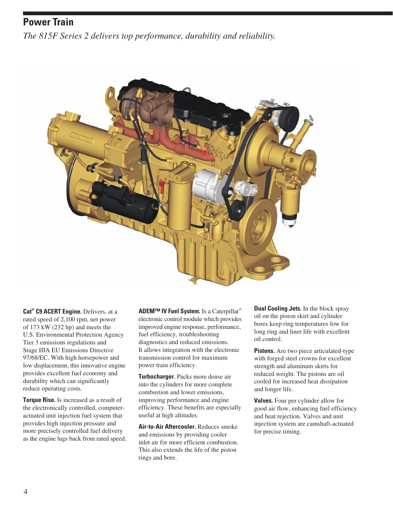# **Power Train**

*The 815F Series 2 delivers top performance, durability and reliability.*



**Cat® C9 ACERT Engine.** Delivers, at a rated speed of 2,100 rpm, net power of 173 kW (232 hp) and meets the U.S. Environmental Protection Agency Tier 3 emissions regulations and Stage IIIA EU Emissions Directive 97/68/EC. With high horsepower and low displacement, this innovative engine provides excellent fuel economy and durability which can significantly reduce operating costs.

**Torque Rise.** Is increased as a result of the electronically controlled, computeractuated unit injection fuel system that provides high injection pressure and more precisely controlled fuel delivery as the engine lugs back from rated speed. **ADEM™ IV Fuel System.** Is a Caterpillar® electronic control module which provides improved engine response, performance, fuel efficiency, troubleshooting diagnostics and reduced emissions. It allows integration with the electronic transmission control for maximum power train efficiency.

**Turbocharger.** Packs more dense air into the cylinders for more complete combustion and lower emissions, improving performance and engine efficiency. These benefits are especially useful at high altitudes.

**Air-to-Air Aftercooler.** Reduces smoke and emissions by providing cooler inlet air for more efficient combustion. This also extends the life of the piston rings and bore.

**Dual Cooling Jets.** In the block spray oil on the piston skirt and cylinder bores keep ring temperatures low for long ring and liner life with excellent oil control.

**Pistons.** Are two piece articulated-type with forged steel crowns for excellent strength and aluminum skirts for reduced weight. The pistons are oil cooled for increased heat dissipation and longer life.

**Valves.** Four per cylinder allow for good air flow, enhancing fuel efficiency and heat rejection. Valves and unit injection system are camshaft-actuated for precise timing.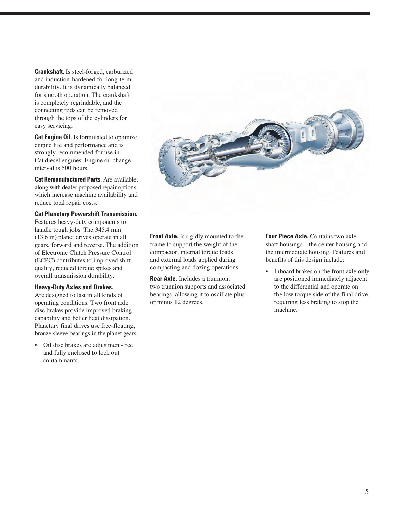**Crankshaft.** Is steel-forged, carburized and induction-hardened for long-term durability. It is dynamically balanced for smooth operation. The crankshaft is completely regrindable, and the connecting rods can be removed through the tops of the cylinders for easy servicing.

**Cat Engine Oil.** Is formulated to optimize engine life and performance and is strongly recommended for use in Cat diesel engines. Engine oil change interval is 500 hours.

**Cat Remanufactured Parts.** Are available, along with dealer proposed repair options, which increase machine availability and reduce total repair costs.

#### **Cat Planetary Powershift Transmission.**

Features heavy-duty components to handle tough jobs. The 345.4 mm (13.6 in) planet drives operate in all gears, forward and reverse. The addition of Electronic Clutch Pressure Control (ECPC) contributes to improved shift quality, reduced torque spikes and overall transmission durability.

#### **Heavy-Duty Axles and Brakes.**

Are designed to last in all kinds of operating conditions. Two front axle disc brakes provide improved braking capability and better heat dissipation. Planetary final drives use free-floating, bronze sleeve bearings in the planet gears.

• Oil disc brakes are adjustment-free and fully enclosed to lock out contaminants.



**Front Axle.** Is rigidly mounted to the frame to support the weight of the compactor, internal torque loads and external loads applied during compacting and dozing operations.

**Rear Axle.** Includes a trunnion, two trunnion supports and associated bearings, allowing it to oscillate plus or minus 12 degrees.

**Four Piece Axle.** Contains two axle shaft housings – the center housing and the intermediate housing. Features and benefits of this design include:

• Inboard brakes on the front axle only are positioned immediately adjacent to the differential and operate on the low torque side of the final drive, requiring less braking to stop the machine.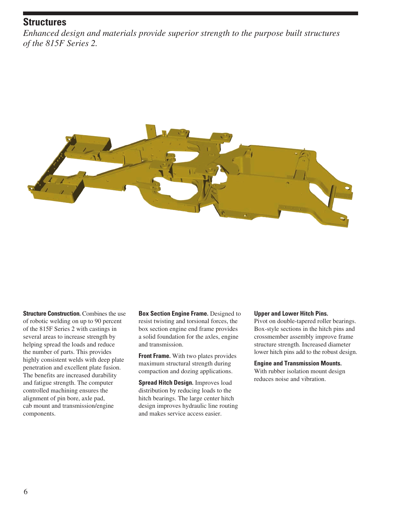## **Structures**

*Enhanced design and materials provide superior strength to the purpose built structures of the 815F Series 2.*



**Structure Construction.** Combines the use of robotic welding on up to 90 percent of the 815F Series 2 with castings in several areas to increase strength by helping spread the loads and reduce the number of parts. This provides highly consistent welds with deep plate penetration and excellent plate fusion. The benefits are increased durability and fatigue strength. The computer controlled machining ensures the alignment of pin bore, axle pad, cab mount and transmission/engine components.

**Box Section Engine Frame.** Designed to resist twisting and torsional forces, the box section engine end frame provides a solid foundation for the axles, engine and transmission.

**Front Frame.** With two plates provides maximum structural strength during compaction and dozing applications.

**Spread Hitch Design.** Improves load distribution by reducing loads to the hitch bearings. The large center hitch design improves hydraulic line routing and makes service access easier.

### **Upper and Lower Hitch Pins.**

Pivot on double-tapered roller bearings. Box-style sections in the hitch pins and crossmember assembly improve frame structure strength. Increased diameter lower hitch pins add to the robust design.

### **Engine and Transmission Mounts.**

With rubber isolation mount design reduces noise and vibration.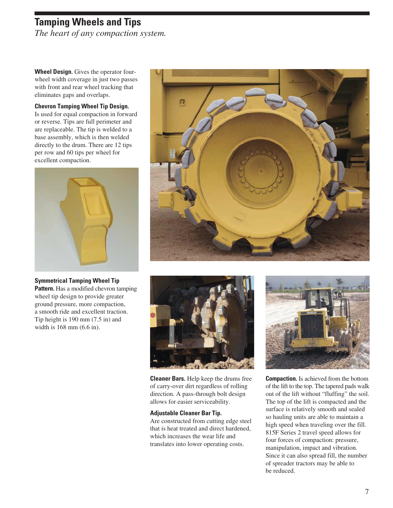# **Tamping Wheels and Tips**

*The heart of any compaction system.*

**Wheel Design.** Gives the operator fourwheel width coverage in just two passes with front and rear wheel tracking that eliminates gaps and overlaps.

### **Chevron Tamping Wheel Tip Design.**

Is used for equal compaction in forward or reverse. Tips are full perimeter and are replaceable. The tip is welded to a base assembly, which is then welded directly to the drum. There are 12 tips per row and 60 tips per wheel for excellent compaction.



**Symmetrical Tamping Wheel Tip Pattern.** Has a modified chevron tamping wheel tip design to provide greater ground pressure, more compaction, a smooth ride and excellent traction. Tip height is 190 mm (7.5 in) and width is 168 mm (6.6 in).





**Cleaner Bars.** Help keep the drums free of carry-over dirt regardless of rolling direction. A pass-through bolt design allows for easier serviceability.

### **Adjustable Cleaner Bar Tip.**

Are constructed from cutting edge steel that is heat treated and direct hardened, which increases the wear life and translates into lower operating costs.



**Compaction.** Is achieved from the bottom of the lift to the top. The tapered pads walk out of the lift without "fluffing" the soil. The top of the lift is compacted and the surface is relatively smooth and sealed so hauling units are able to maintain a high speed when traveling over the fill. 815F Series 2 travel speed allows for four forces of compaction: pressure, manipulation, impact and vibration. Since it can also spread fill, the number of spreader tractors may be able to be reduced.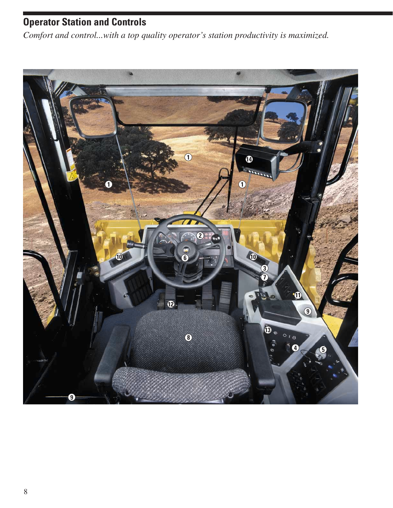# **Operator Station and Controls**

*Comfort and control...with a top quality operator's station productivity is maximized.*

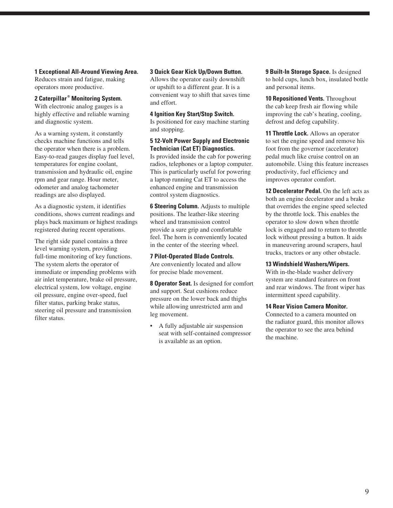**1 Exceptional All-Around Viewing Area.**

Reduces strain and fatigue, making operators more productive.

### **2 Caterpillar ® Monitoring System.**

With electronic analog gauges is a highly effective and reliable warning and diagnostic system.

As a warning system, it constantly checks machine functions and tells the operator when there is a problem. Easy-to-read gauges display fuel level, temperatures for engine coolant, transmission and hydraulic oil, engine rpm and gear range. Hour meter, odometer and analog tachometer readings are also displayed.

As a diagnostic system, it identifies conditions, shows current readings and plays back maximum or highest readings registered during recent operations.

The right side panel contains a three level warning system, providing full-time monitoring of key functions. The system alerts the operator of immediate or impending problems with air inlet temperature, brake oil pressure, electrical system, low voltage, engine oil pressure, engine over-speed, fuel filter status, parking brake status, steering oil pressure and transmission filter status.

#### **3 Quick Gear Kick Up/Down Button.**

Allows the operator easily downshift or upshift to a different gear. It is a convenient way to shift that saves time and effort.

#### **4 Ignition Key Start/Stop Switch.**

Is positioned for easy machine starting and stopping.

### **5 12-Volt Power Supply and Electronic Technician (Cat ET) Diagnostics.**

Is provided inside the cab for powering radios, telephones or a laptop computer. This is particularly useful for powering a laptop running Cat ET to access the enhanced engine and transmission control system diagnostics.

**6 Steering Column.** Adjusts to multiple positions. The leather-like steering wheel and transmission control provide a sure grip and comfortable feel. The horn is conveniently located in the center of the steering wheel.

**7 Pilot-Operated Blade Controls.** Are conveniently located and allow for precise blade movement.

**8 Operator Seat.** Is designed for comfort and support. Seat cushions reduce pressure on the lower back and thighs while allowing unrestricted arm and leg movement.

• A fully adjustable air suspension seat with self-contained compressor is available as an option.

**9 Built-In Storage Space.** Is designed to hold cups, lunch box, insulated bottle and personal items.

**10 Repositioned Vents.** Throughout the cab keep fresh air flowing while improving the cab's heating, cooling, defrost and defog capability.

**11 Throttle Lock.** Allows an operator to set the engine speed and remove his foot from the governor (accelerator) pedal much like cruise control on an automobile. Using this feature increases productivity, fuel efficiency and improves operator comfort.

**12 Decelerator Pedal.** On the left acts as both an engine decelerator and a brake that overrides the engine speed selected by the throttle lock. This enables the operator to slow down when throttle lock is engaged and to return to throttle lock without pressing a button. It aids in maneuvering around scrapers, haul trucks, tractors or any other obstacle.

#### **13 Windshield Washers/Wipers.**

With in-the-blade washer delivery system are standard features on front and rear windows. The front wiper has intermittent speed capability.

### **14 Rear Vision Camera Monitor.**

Connected to a camera mounted on the radiator guard, this monitor allows the operator to see the area behind the machine.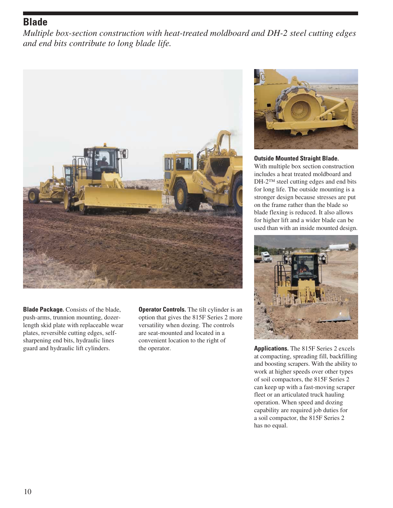## **Blade**

*Multiple box-section construction with heat-treated moldboard and DH-2 steel cutting edges and end bits contribute to long blade life.*



**Blade Package.** Consists of the blade, push-arms, trunnion mounting, dozerlength skid plate with replaceable wear plates, reversible cutting edges, selfsharpening end bits, hydraulic lines guard and hydraulic lift cylinders.

**Operator Controls.** The tilt cylinder is an option that gives the 815F Series 2 more versatility when dozing. The controls are seat-mounted and located in a convenient location to the right of the operator.



**Outside Mounted Straight Blade.**

With multiple box section construction includes a heat treated moldboard and DH-2™ steel cutting edges and end bits for long life. The outside mounting is a stronger design because stresses are put on the frame rather than the blade so blade flexing is reduced. It also allows for higher lift and a wider blade can be used than with an inside mounted design.



**Applications.** The 815F Series 2 excels at compacting, spreading fill, backfilling and boosting scrapers. With the ability to work at higher speeds over other types of soil compactors, the 815F Series 2 can keep up with a fast-moving scraper fleet or an articulated truck hauling operation. When speed and dozing capability are required job duties for a soil compactor, the 815F Series 2 has no equal.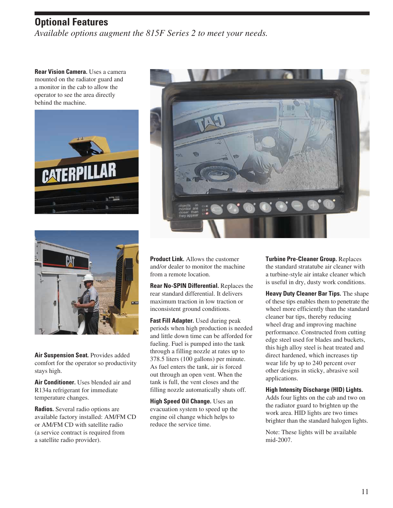## **Optional Features**

*Available options augment the 815F Series 2 to meet your needs.*

**Rear Vision Camera.** Uses a camera mounted on the radiator guard and a monitor in the cab to allow the operator to see the area directly behind the machine.







**Air Suspension Seat.** Provides added comfort for the operator so productivity stays high.

**Air Conditioner.** Uses blended air and R134a refrigerant for immediate temperature changes.

**Radios.** Several radio options are available factory installed: AM/FM CD or AM/FM CD with satellite radio (a service contract is required from a satellite radio provider).

**Product Link.** Allows the customer and/or dealer to monitor the machine from a remote location.

**Rear No-SPIN Differential.** Replaces the rear standard differential. It delivers maximum traction in low traction or inconsistent ground conditions.

**Fast Fill Adapter.** Used during peak periods when high production is needed and little down time can be afforded for fueling. Fuel is pumped into the tank through a filling nozzle at rates up to 378.5 liters (100 gallons) per minute. As fuel enters the tank, air is forced out through an open vent. When the tank is full, the vent closes and the filling nozzle automatically shuts off.

**High Speed Oil Change.** Uses an evacuation system to speed up the engine oil change which helps to reduce the service time.

**Turbine Pre-Cleaner Group.** Replaces the standard stratatube air cleaner with a turbine-style air intake cleaner which is useful in dry, dusty work conditions.

**Heavy Duty Cleaner Bar Tips.** The shape of these tips enables them to penetrate the wheel more efficiently than the standard cleaner bar tips, thereby reducing wheel drag and improving machine performance. Constructed from cutting edge steel used for blades and buckets, this high alloy steel is heat treated and direct hardened, which increases tip wear life by up to 240 percent over other designs in sticky, abrasive soil applications.

### **High Intensity Discharge (HID) Lights.**

Adds four lights on the cab and two on the radiator guard to brighten up the work area. HID lights are two times brighter than the standard halogen lights.

Note: These lights will be available mid-2007.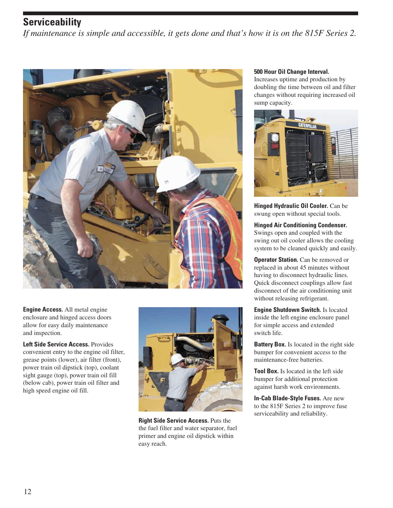## **Serviceability**

*If maintenance is simple and accessible, it gets done and that's how it is on the 815F Series 2.*



**Engine Access.** All metal engine enclosure and hinged access doors allow for easy daily maintenance and inspection.

**Left Side Service Access.** Provides convenient entry to the engine oil filter, grease points (lower), air filter (front), power train oil dipstick (top), coolant sight gauge (top), power train oil fill (below cab), power train oil filter and high speed engine oil fill.



**Right Side Service Access.** Puts the the fuel filter and water separator, fuel primer and engine oil dipstick within easy reach.

### **500 Hour Oil Change Interval.**

Increases uptime and production by doubling the time between oil and filter changes without requiring increased oil sump capacity.



**Hinged Hydraulic Oil Cooler.** Can be swung open without special tools.

**Hinged Air Conditioning Condenser.** Swings open and coupled with the swing out oil cooler allows the cooling system to be cleaned quickly and easily.

**Operator Station.** Can be removed or replaced in about 45 minutes without having to disconnect hydraulic lines. Quick disconnect couplings allow fast disconnect of the air conditioning unit without releasing refrigerant.

**Engine Shutdown Switch.** Is located inside the left engine enclosure panel for simple access and extended switch life.

**Battery Box.** Is located in the right side bumper for convenient access to the maintenance-free batteries.

**Tool Box.** Is located in the left side bumper for additional protection against harsh work environments.

**In-Cab Blade-Style Fuses.** Are new to the 815F Series 2 to improve fuse serviceability and reliability.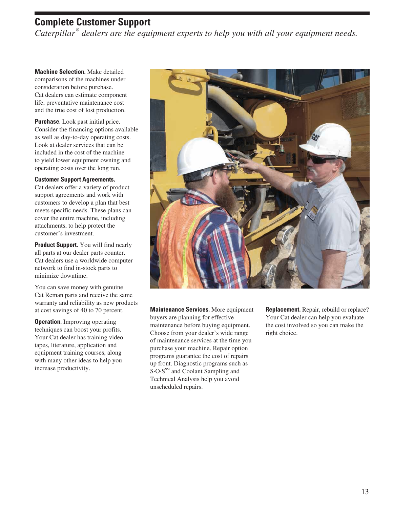## **Complete Customer Support**

*Caterpillar ® dealers are the equipment experts to help you with all your equipment needs.*

**Machine Selection.** Make detailed comparisons of the machines under consideration before purchase. Cat dealers can estimate component life, preventative maintenance cost and the true cost of lost production.

**Purchase.** Look past initial price. Consider the financing options available as well as day-to-day operating costs. Look at dealer services that can be included in the cost of the machine to yield lower equipment owning and operating costs over the long run.

### **Customer Support Agreements.**

Cat dealers offer a variety of product support agreements and work with customers to develop a plan that best meets specific needs. These plans can cover the entire machine, including attachments, to help protect the customer's investment.

**Product Support.** You will find nearly all parts at our dealer parts counter. Cat dealers use a worldwide computer network to find in-stock parts to minimize downtime.

You can save money with genuine Cat Reman parts and receive the same warranty and reliability as new products at cost savings of 40 to 70 percent.

**Operation.** Improving operating techniques can boost your profits. Your Cat dealer has training video tapes, literature, application and equipment training courses, along with many other ideas to help you increase productivity.



**Maintenance Services.** More equipment buyers are planning for effective maintenance before buying equipment. Choose from your dealer's wide range of maintenance services at the time you purchase your machine. Repair option programs guarantee the cost of repairs up front. Diagnostic programs such as S<sub>·</sub>O·S<sup>SM</sup> and Coolant Sampling and Technical Analysis help you avoid unscheduled repairs.

**Replacement.** Repair, rebuild or replace? Your Cat dealer can help you evaluate the cost involved so you can make the right choice.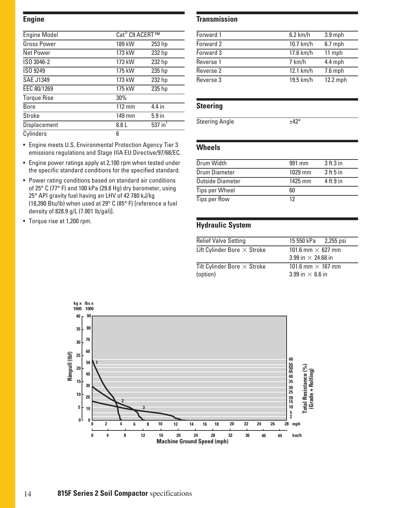### **Engine**

| <b>Engine Model</b> | Cat <sup>®</sup> C9 ACERT™ |                   |
|---------------------|----------------------------|-------------------|
| <b>Gross Power</b>  | 189 kW                     | 253 hp            |
| <b>Net Power</b>    | 173 kW                     | 232 hp            |
| ISO 3046-2          | 173 kW                     | 232 hp            |
| ISO 9249            | 175 kW                     | 235 hp            |
| <b>SAE J1349</b>    | 173 kW                     | 232 hp            |
| EEC 80/1269         | 175 kW                     | 235 hp            |
| <b>Torque Rise</b>  | 30%                        |                   |
| <b>Bore</b>         | 112 mm                     | 4.4 in            |
| <b>Stroke</b>       | 149 mm                     | 5.9 <sub>in</sub> |
| Displacement        | 8.8 L                      | 537 $in3$         |
| Cylinders           | 6                          |                   |

- Engine meets U.S. Environmental Protection Agency Tier 3 emissions regulations and Stage IIIA EU Directive/97/68/EC.
- Engine power ratings apply at 2,100 rpm when tested under the specific standard conditions for the specified standard.
- Power rating conditions based on standard air conditions of 25° C (77° F) and 100 kPa (29.8 Hg) dry barometer, using 25° API gravity fuel having an LHV of 42 780 kJ/kg (18,390 Btu/lb) when used at 29° C (85° F) [reference a fuel density of 828.9 g/L (7.001 lb/gal)].
- Torque rise at 1,200 rpm.

### **Transmission**

| Forward 1 | $6.2$ km/h | $3.9$ mph |
|-----------|------------|-----------|
| Forward 2 | 10.7 km/h  | $6.7$ mph |
| Forward 3 | 17.6 km/h  | 11 mph    |
| Reverse 1 | 7 km/h     | $4.4$ mph |
| Reverse 2 | 12.1 km/h  | $7.6$ mph |
| Reverse 3 | 19.5 km/h  | 12.2 mph  |

## **Steering**

Steering Angle  $\pm 42^\circ$ 

## **Wheels**

| Drum Width              | 991 mm  | 3 <sup>th</sup> 3 <sup>in</sup> |
|-------------------------|---------|---------------------------------|
| Drum Diameter           | 1029 mm | $3$ ft 5 in                     |
| <b>Outside Diameter</b> | 1425 mm | $4$ ft $9$ in                   |
| <b>Tips per Wheel</b>   | 60      |                                 |
| <b>Tips per Row</b>     | 12      |                                 |

## **Hydraulic System**

| <b>Relief Valve Setting</b>                    | 15 550 kPa 2,255 psi                                  |
|------------------------------------------------|-------------------------------------------------------|
| Lift Cylinder Bore $\times$ Stroke             | 101.6 mm $\times$ 627 mm<br>3.99 in $\times$ 24.68 in |
| Tilt Cylinder Bore $\times$ Stroke<br>(option) | 101.6 mm $\times$ 167 mm<br>3.99 in $\times$ 6.6 in   |

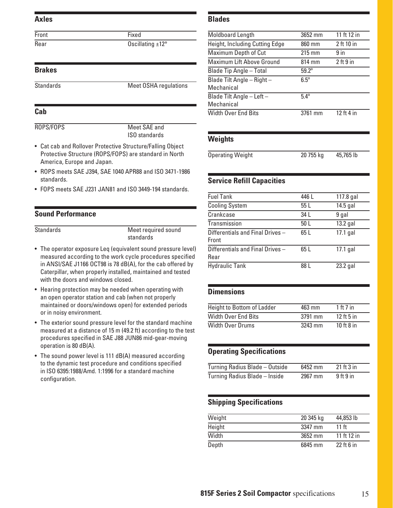### **Axles**

Front Fixed

Rear Oscillating ±12°

## **Brakes**

Standards Meet OSHA regulations

### **Cab**

ROPS/FOPS Meet SAE and

ISO standards

- Cat cab and Rollover Protective Structure/Falling Object Protective Structure (ROPS/FOPS) are standard in North America, Europe and Japan.
- ROPS meets SAE J394, SAE 1040 APR88 and ISO 3471-1986 standards.
- FOPS meets SAE J231 JAN81 and ISO 3449-194 standards.

## **Sound Performance**

Standards Meet required sound standards

- The operator exposure Leq (equivalent sound pressure level) measured according to the work cycle procedures specified in ANSI/SAE J1166 OCT98 is 78 dB(A), for the cab offered by Caterpillar, when properly installed, maintained and tested with the doors and windows closed.
- Hearing protection may be needed when operating with an open operator station and cab (when not properly maintained or doors/windows open) for extended periods or in noisy environment.
- The exterior sound pressure level for the standard machine measured at a distance of 15 m (49.2 ft) according to the test procedures specified in SAE J88 JUN86 mid-gear-moving operation is 80 dB(A).
- The sound power level is 111 dB(A) measured according to the dynamic test procedure and conditions specified in ISO 6395:1988/Amd. 1:1996 for a standard machine configuration.

## **Blades**

| <b>Moldboard Length</b>                  | 3652 mm          | 11 ft 12 in   |
|------------------------------------------|------------------|---------------|
| Height, Including Cutting Edge           | 860 mm           | $2$ ft 10 in  |
| Maximum Depth of Cut                     | $215 \text{ mm}$ | 9 in          |
| Maximum Lift Above Ground                | 814 mm           | $2$ ft $9$ in |
| Blade Tip Angle - Total                  | $59.2^{\circ}$   |               |
| Blade Tilt Angle - Right -<br>Mechanical | $6.5^\circ$      |               |
| Blade Tilt Angle - Left -<br>Mechanical  | $5.4^{\circ}$    |               |
| Width Over End Bits                      | 3761 mm          | $12$ ft 4 in  |

### **Weights**

| <b>Operating Weight</b> | 20 755 kg | 45,765 lb |
|-------------------------|-----------|-----------|

## **Service Refill Capacities**

| <b>Fuel Tank</b>                          | 446 L | 117.8 gal  |
|-------------------------------------------|-------|------------|
| <b>Cooling System</b>                     | 55 L  | $14.5$ gal |
| Crankcase                                 | 34 L  | 9 gal      |
| Transmission                              | 50 L  | 13.2 gal   |
| Differentials and Final Drives -<br>Front | 65L   | $17.1$ gal |
| Differentials and Final Drives-<br>Rear   | 65 L  | $17.1$ gal |
| <b>Hydraulic Tank</b>                     | 88 L  | $23.2$ gal |

### **Dimensions**

| <b>Height to Bottom of Ladder</b> | 463 mm  | 1 ft 7 in    |
|-----------------------------------|---------|--------------|
| <b>Width Over End Bits</b>        | 3791 mm | $12$ ft 5 in |
| <b>Width Over Drums</b>           | 3243 mm | $10$ ft 8 in |

## **Operating Specifications**

| Turning Radius Blade - Outside | 6452 mm | $21$ ft $3$ in |
|--------------------------------|---------|----------------|
| Turning Radius Blade - Inside  | 2967 mm | $9$ ft $9$ in  |

## **Shipping Specifications**

| Weight | 20 345 kg | 44,853 lb        |
|--------|-----------|------------------|
| Height | 3347 mm   | 11 <sub>ft</sub> |
| Width  | 3652 mm   | 11 ft 12 in      |
| Depth  | 6845 mm   | $22$ ft 6 in     |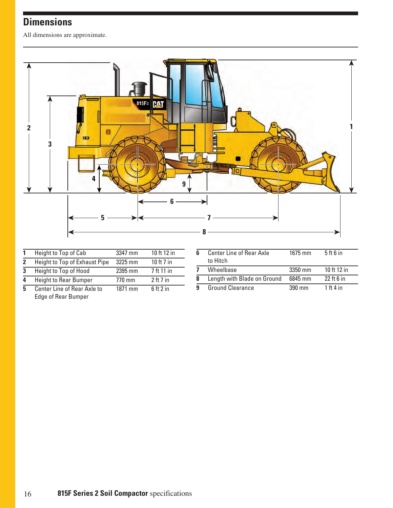# **Dimensions**

All dimensions are approximate.



|                            | Height to Top of Cab          | 3347 mm | 10 ft 12 in                     |
|----------------------------|-------------------------------|---------|---------------------------------|
| $\boldsymbol{\mathcal{P}}$ | Height to Top of Exhaust Pipe | 3225 mm | 10 ft 7 in                      |
| 3                          | Height to Top of Hood         | 2395 mm | 7 ft 11 in                      |
| л                          | <b>Height to Rear Bumper</b>  | 770 mm  | 2 <sub>ft</sub> 7 <sub>in</sub> |
| 5                          | Center Line of Rear Axle to   | 1871 mm | $6$ ft $2$ in                   |
|                            |                               |         |                                 |

| 6 | <b>Center Line of Rear Axle</b><br>to Hitch | 1675 mm | $5$ ft 6 in                     |
|---|---------------------------------------------|---------|---------------------------------|
| 7 | Wheelbase                                   | 3350 mm | 10 ft 12 in                     |
| 8 | Length with Blade on Ground                 | 6845 mm | 22 ft 6 in                      |
| 9 | <b>Ground Clearance</b>                     | 390 mm  | 1 <sup>th</sup> 4 <sup>in</sup> |

Edge of Rear Bumper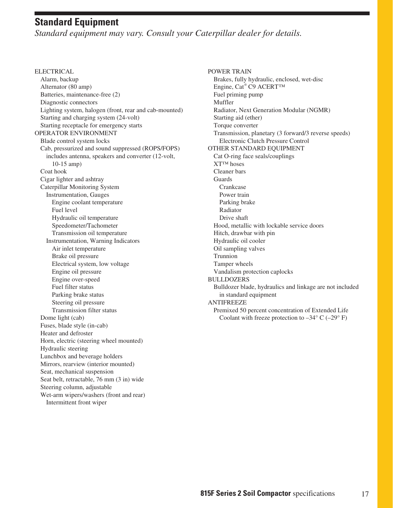## **Standard Equipment**

*Standard equipment may vary. Consult your Caterpillar dealer for details.*

**ELECTRICAL** Alarm, backup Alternator (80 amp) Batteries, maintenance-free (2) Diagnostic connectors Lighting system, halogen (front, rear and cab-mounted) Starting and charging system (24-volt) Starting receptacle for emergency starts OPERATOR ENVIRONMENT Blade control system locks Cab, pressurized and sound suppressed (ROPS/FOPS) includes antenna, speakers and converter (12-volt, 10-15 amp) Coat hook Cigar lighter and ashtray Caterpillar Monitoring System Instrumentation, Gauges Engine coolant temperature Fuel level Hydraulic oil temperature Speedometer/Tachometer Transmission oil temperature Instrumentation, Warning Indicators Air inlet temperature Brake oil pressure Electrical system, low voltage Engine oil pressure Engine over-speed Fuel filter status Parking brake status Steering oil pressure Transmission filter status Dome light (cab) Fuses, blade style (in-cab) Heater and defroster Horn, electric (steering wheel mounted) Hydraulic steering Lunchbox and beverage holders Mirrors, rearview (interior mounted) Seat, mechanical suspension Seat belt, retractable, 76 mm (3 in) wide Steering column, adjustable Wet-arm wipers/washers (front and rear) Intermittent front wiper

POWER TRAIN Brakes, fully hydraulic, enclosed, wet-disc Engine, Cat® C9 ACERT™ Fuel priming pump Muffler Radiator, Next Generation Modular (NGMR) Starting aid (ether) Torque converter Transmission, planetary (3 forward/3 reverse speeds) Electronic Clutch Pressure Control OTHER STANDARD EQUIPMENT Cat O-ring face seals/couplings XT™ hoses Cleaner bars Guards Crankcase Power train Parking brake Radiator Drive shaft Hood, metallic with lockable service doors Hitch, drawbar with pin Hydraulic oil cooler Oil sampling valves Trunnion Tamper wheels Vandalism protection caplocks BULLDOZERS Bulldozer blade, hydraulics and linkage are not included in standard equipment ANTIFREEZE Premixed 50 percent concentration of Extended Life Coolant with freeze protection to  $-34^{\circ}$  C ( $-29^{\circ}$  F)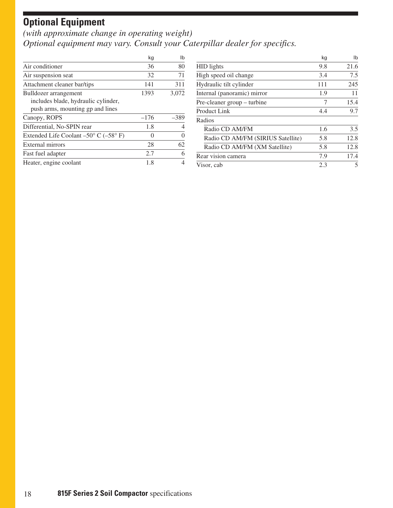# **Optional Equipment**

*(with approximate change in operating weight) Optional equipment may vary. Consult your Caterpillar dealer for specifics.*

|                                                          | kg     | Ib     |
|----------------------------------------------------------|--------|--------|
| Air conditioner                                          | 36     | 80     |
| Air suspension seat                                      | 32     | 71     |
| Attachment cleaner bar/tips                              | 141    | 311    |
| Bulldozer arrangement                                    | 1393   | 3,072  |
| includes blade, hydraulic cylinder,                      |        |        |
| push arms, mounting gp and lines                         |        |        |
| Canopy, ROPS                                             | $-176$ | $-389$ |
| Differential, No-SPIN rear                               | 1.8    |        |
| Extended Life Coolant $-50^{\circ}$ C ( $-58^{\circ}$ F) |        |        |
| <b>External mirrors</b>                                  | 28     | 62     |
| Fast fuel adapter                                        | 2.7    | 6      |
| Heater, engine coolant                                   | 1.8    |        |

|                                   | kg  | lb   |
|-----------------------------------|-----|------|
| <b>HID</b> lights                 | 9.8 | 21.6 |
| High speed oil change             | 3.4 | 7.5  |
| Hydraulic tilt cylinder           | 111 | 245  |
| Internal (panoramic) mirror       | 1.9 | 11   |
| Pre-cleaner group – turbine       | 7   | 15.4 |
| Product Link                      | 4.4 | 9.7  |
| Radios                            |     |      |
| Radio CD AM/FM                    | 1.6 | 3.5  |
| Radio CD AM/FM (SIRIUS Satellite) | 5.8 | 12.8 |
| Radio CD AM/FM (XM Satellite)     | 5.8 | 12.8 |
| Rear vision camera                | 7.9 | 17.4 |
| Visor, cab                        | 2.3 | 5    |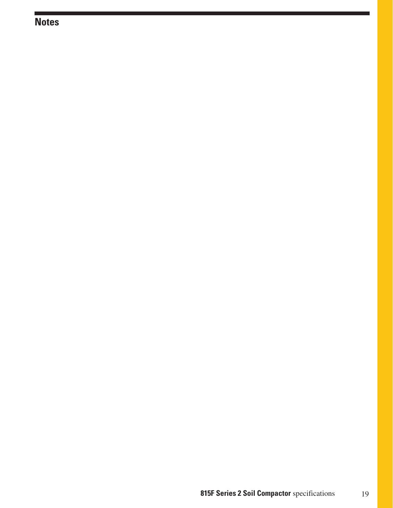# **Notes**